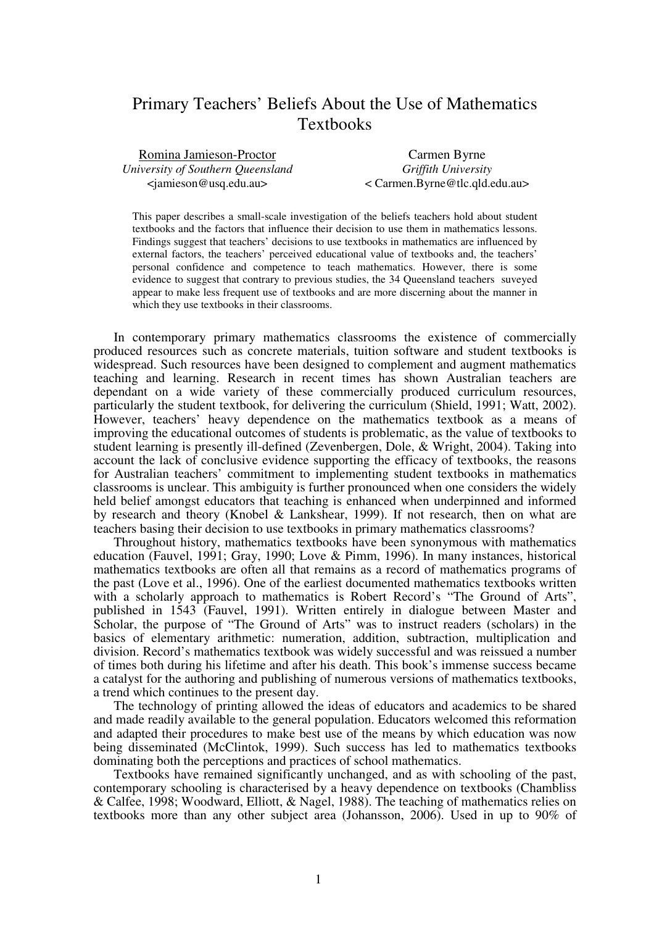# Primary Teachers' Beliefs About the Use of Mathematics Textbooks

Romina Jamieson-Proctor *University of Southern Queensland*  <jamieson@usq.edu.au>

Carmen Byrne *Griffith University*  < Carmen.Byrne@tlc.qld.edu.au>

This paper describes a small-scale investigation of the beliefs teachers hold about student textbooks and the factors that influence their decision to use them in mathematics lessons. Findings suggest that teachers' decisions to use textbooks in mathematics are influenced by external factors, the teachers' perceived educational value of textbooks and, the teachers' personal confidence and competence to teach mathematics. However, there is some evidence to suggest that contrary to previous studies, the 34 Queensland teachers suveyed appear to make less frequent use of textbooks and are more discerning about the manner in which they use textbooks in their classrooms.

In contemporary primary mathematics classrooms the existence of commercially produced resources such as concrete materials, tuition software and student textbooks is widespread. Such resources have been designed to complement and augment mathematics teaching and learning. Research in recent times has shown Australian teachers are dependant on a wide variety of these commercially produced curriculum resources, particularly the student textbook, for delivering the curriculum (Shield, 1991; Watt, 2002). However, teachers' heavy dependence on the mathematics textbook as a means of improving the educational outcomes of students is problematic, as the value of textbooks to student learning is presently ill-defined (Zevenbergen, Dole, & Wright, 2004). Taking into account the lack of conclusive evidence supporting the efficacy of textbooks, the reasons for Australian teachers' commitment to implementing student textbooks in mathematics classrooms is unclear. This ambiguity is further pronounced when one considers the widely held belief amongst educators that teaching is enhanced when underpinned and informed by research and theory (Knobel & Lankshear, 1999). If not research, then on what are teachers basing their decision to use textbooks in primary mathematics classrooms?

Throughout history, mathematics textbooks have been synonymous with mathematics education (Fauvel, 1991; Gray, 1990; Love & Pimm, 1996). In many instances, historical mathematics textbooks are often all that remains as a record of mathematics programs of the past (Love et al., 1996). One of the earliest documented mathematics textbooks written with a scholarly approach to mathematics is Robert Record's "The Ground of Arts", published in 1543 (Fauvel, 1991). Written entirely in dialogue between Master and Scholar, the purpose of "The Ground of Arts" was to instruct readers (scholars) in the basics of elementary arithmetic: numeration, addition, subtraction, multiplication and division. Record's mathematics textbook was widely successful and was reissued a number of times both during his lifetime and after his death. This book's immense success became a catalyst for the authoring and publishing of numerous versions of mathematics textbooks, a trend which continues to the present day.

The technology of printing allowed the ideas of educators and academics to be shared and made readily available to the general population. Educators welcomed this reformation and adapted their procedures to make best use of the means by which education was now being disseminated (McClintok, 1999). Such success has led to mathematics textbooks dominating both the perceptions and practices of school mathematics.

Textbooks have remained significantly unchanged, and as with schooling of the past, contemporary schooling is characterised by a heavy dependence on textbooks (Chambliss & Calfee, 1998; Woodward, Elliott, & Nagel, 1988). The teaching of mathematics relies on textbooks more than any other subject area (Johansson, 2006). Used in up to 90% of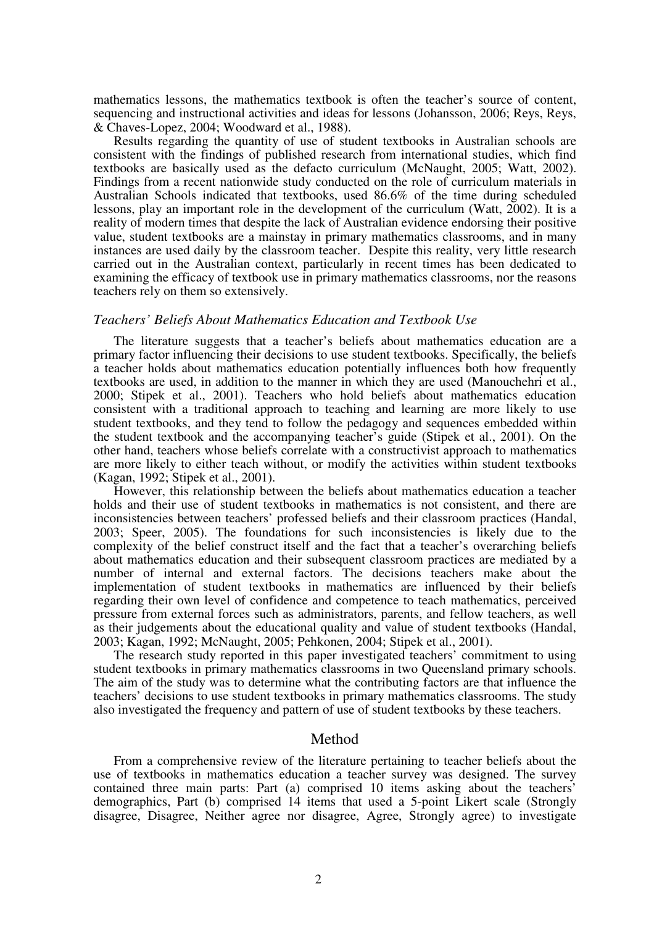mathematics lessons, the mathematics textbook is often the teacher's source of content, sequencing and instructional activities and ideas for lessons (Johansson, 2006; Reys, Reys, & Chaves-Lopez, 2004; Woodward et al., 1988).

Results regarding the quantity of use of student textbooks in Australian schools are consistent with the findings of published research from international studies, which find textbooks are basically used as the defacto curriculum (McNaught, 2005; Watt, 2002). Findings from a recent nationwide study conducted on the role of curriculum materials in Australian Schools indicated that textbooks, used 86.6% of the time during scheduled lessons, play an important role in the development of the curriculum (Watt, 2002). It is a reality of modern times that despite the lack of Australian evidence endorsing their positive value, student textbooks are a mainstay in primary mathematics classrooms, and in many instances are used daily by the classroom teacher. Despite this reality, very little research carried out in the Australian context, particularly in recent times has been dedicated to examining the efficacy of textbook use in primary mathematics classrooms, nor the reasons teachers rely on them so extensively.

#### *Teachers' Beliefs About Mathematics Education and Textbook Use*

The literature suggests that a teacher's beliefs about mathematics education are a primary factor influencing their decisions to use student textbooks. Specifically, the beliefs a teacher holds about mathematics education potentially influences both how frequently textbooks are used, in addition to the manner in which they are used (Manouchehri et al., 2000; Stipek et al., 2001). Teachers who hold beliefs about mathematics education consistent with a traditional approach to teaching and learning are more likely to use student textbooks, and they tend to follow the pedagogy and sequences embedded within the student textbook and the accompanying teacher's guide (Stipek et al., 2001). On the other hand, teachers whose beliefs correlate with a constructivist approach to mathematics are more likely to either teach without, or modify the activities within student textbooks (Kagan, 1992; Stipek et al., 2001).

However, this relationship between the beliefs about mathematics education a teacher holds and their use of student textbooks in mathematics is not consistent, and there are inconsistencies between teachers' professed beliefs and their classroom practices (Handal, 2003; Speer, 2005). The foundations for such inconsistencies is likely due to the complexity of the belief construct itself and the fact that a teacher's overarching beliefs about mathematics education and their subsequent classroom practices are mediated by a number of internal and external factors. The decisions teachers make about the implementation of student textbooks in mathematics are influenced by their beliefs regarding their own level of confidence and competence to teach mathematics, perceived pressure from external forces such as administrators, parents, and fellow teachers, as well as their judgements about the educational quality and value of student textbooks (Handal, 2003; Kagan, 1992; McNaught, 2005; Pehkonen, 2004; Stipek et al., 2001).

The research study reported in this paper investigated teachers' commitment to using student textbooks in primary mathematics classrooms in two Queensland primary schools. The aim of the study was to determine what the contributing factors are that influence the teachers' decisions to use student textbooks in primary mathematics classrooms. The study also investigated the frequency and pattern of use of student textbooks by these teachers.

#### Method

From a comprehensive review of the literature pertaining to teacher beliefs about the use of textbooks in mathematics education a teacher survey was designed. The survey contained three main parts: Part (a) comprised 10 items asking about the teachers' demographics, Part (b) comprised 14 items that used a 5-point Likert scale (Strongly disagree, Disagree, Neither agree nor disagree, Agree, Strongly agree) to investigate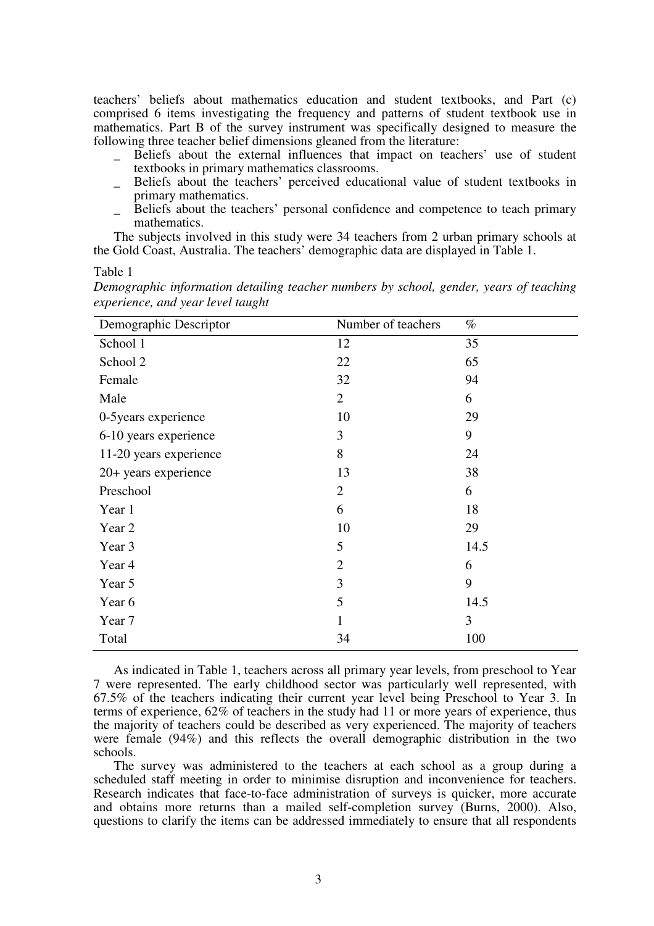teachers' beliefs about mathematics education and student textbooks, and Part (c) comprised 6 items investigating the frequency and patterns of student textbook use in mathematics. Part B of the survey instrument was specifically designed to measure the following three teacher belief dimensions gleaned from the literature:

- Beliefs about the external influences that impact on teachers' use of student textbooks in primary mathematics classrooms.
- \_ Beliefs about the teachers' perceived educational value of student textbooks in primary mathematics.
- \_ Beliefs about the teachers' personal confidence and competence to teach primary mathematics.

The subjects involved in this study were 34 teachers from 2 urban primary schools at the Gold Coast, Australia. The teachers' demographic data are displayed in Table 1.

Table 1

*Demographic information detailing teacher numbers by school, gender, years of teaching experience, and year level taught* 

| Demographic Descriptor | Number of teachers | $\%$ |
|------------------------|--------------------|------|
| School 1               | 12                 | 35   |
| School 2               | 22                 | 65   |
| Female                 | 32                 | 94   |
| Male                   | $\overline{2}$     | 6    |
| 0-5 years experience   | 10                 | 29   |
| 6-10 years experience  | 3                  | 9    |
| 11-20 years experience | 8                  | 24   |
| 20+ years experience   | 13                 | 38   |
| Preschool              | $\overline{2}$     | 6    |
| Year 1                 | 6                  | 18   |
| Year 2                 | 10                 | 29   |
| Year 3                 | 5                  | 14.5 |
| Year 4                 | $\overline{2}$     | 6    |
| Year 5                 | 3                  | 9    |
| Year 6                 | 5                  | 14.5 |
| Year 7                 | 1                  | 3    |
| Total                  | 34                 | 100  |

As indicated in Table 1, teachers across all primary year levels, from preschool to Year 7 were represented. The early childhood sector was particularly well represented, with 67.5% of the teachers indicating their current year level being Preschool to Year 3. In terms of experience, 62% of teachers in the study had 11 or more years of experience, thus the majority of teachers could be described as very experienced. The majority of teachers were female (94%) and this reflects the overall demographic distribution in the two schools.

The survey was administered to the teachers at each school as a group during a scheduled staff meeting in order to minimise disruption and inconvenience for teachers. Research indicates that face-to-face administration of surveys is quicker, more accurate and obtains more returns than a mailed self-completion survey (Burns, 2000). Also, questions to clarify the items can be addressed immediately to ensure that all respondents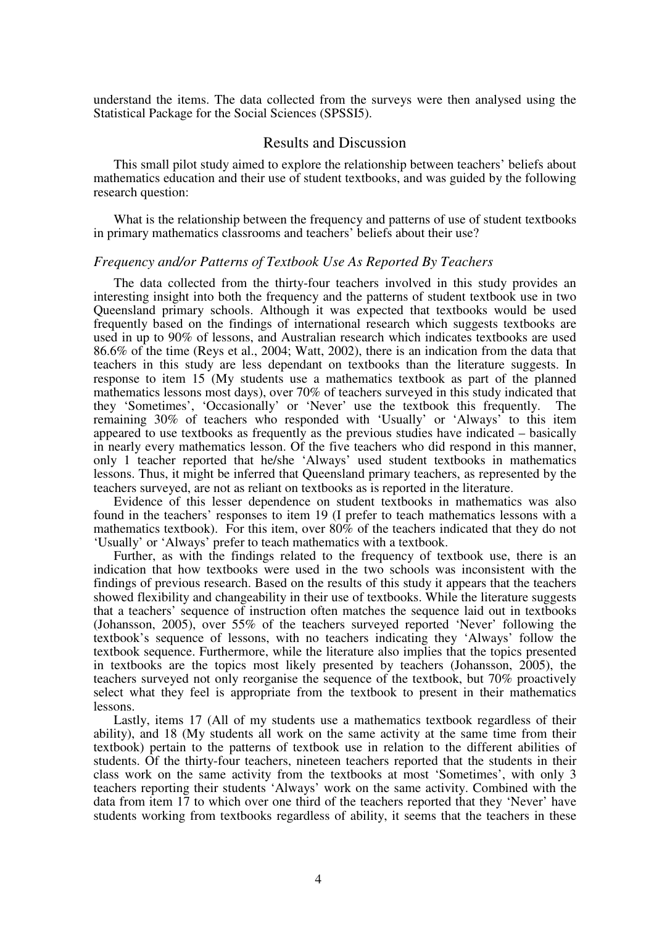understand the items. The data collected from the surveys were then analysed using the Statistical Package for the Social Sciences (SPSSI5).

#### Results and Discussion

This small pilot study aimed to explore the relationship between teachers' beliefs about mathematics education and their use of student textbooks, and was guided by the following research question:

What is the relationship between the frequency and patterns of use of student textbooks in primary mathematics classrooms and teachers' beliefs about their use?

#### *Frequency and/or Patterns of Textbook Use As Reported By Teachers*

The data collected from the thirty-four teachers involved in this study provides an interesting insight into both the frequency and the patterns of student textbook use in two Queensland primary schools. Although it was expected that textbooks would be used frequently based on the findings of international research which suggests textbooks are used in up to 90% of lessons, and Australian research which indicates textbooks are used 86.6% of the time (Reys et al., 2004; Watt, 2002), there is an indication from the data that teachers in this study are less dependant on textbooks than the literature suggests. In response to item 15 (My students use a mathematics textbook as part of the planned mathematics lessons most days), over 70% of teachers surveyed in this study indicated that they 'Sometimes', 'Occasionally' or 'Never' use the textbook this frequently. The remaining 30% of teachers who responded with 'Usually' or 'Always' to this item appeared to use textbooks as frequently as the previous studies have indicated – basically in nearly every mathematics lesson. Of the five teachers who did respond in this manner, only 1 teacher reported that he/she 'Always' used student textbooks in mathematics lessons. Thus, it might be inferred that Queensland primary teachers, as represented by the teachers surveyed, are not as reliant on textbooks as is reported in the literature.

Evidence of this lesser dependence on student textbooks in mathematics was also found in the teachers' responses to item 19 (I prefer to teach mathematics lessons with a mathematics textbook). For this item, over  $80\%$  of the teachers indicated that they do not 'Usually' or 'Always' prefer to teach mathematics with a textbook.

Further, as with the findings related to the frequency of textbook use, there is an indication that how textbooks were used in the two schools was inconsistent with the findings of previous research. Based on the results of this study it appears that the teachers showed flexibility and changeability in their use of textbooks. While the literature suggests that a teachers' sequence of instruction often matches the sequence laid out in textbooks (Johansson, 2005), over 55% of the teachers surveyed reported 'Never' following the textbook's sequence of lessons, with no teachers indicating they 'Always' follow the textbook sequence. Furthermore, while the literature also implies that the topics presented in textbooks are the topics most likely presented by teachers (Johansson, 2005), the teachers surveyed not only reorganise the sequence of the textbook, but 70% proactively select what they feel is appropriate from the textbook to present in their mathematics lessons.

Lastly, items 17 (All of my students use a mathematics textbook regardless of their ability), and 18 (My students all work on the same activity at the same time from their textbook) pertain to the patterns of textbook use in relation to the different abilities of students. Of the thirty-four teachers, nineteen teachers reported that the students in their class work on the same activity from the textbooks at most 'Sometimes', with only 3 teachers reporting their students 'Always' work on the same activity. Combined with the data from item 17 to which over one third of the teachers reported that they 'Never' have students working from textbooks regardless of ability, it seems that the teachers in these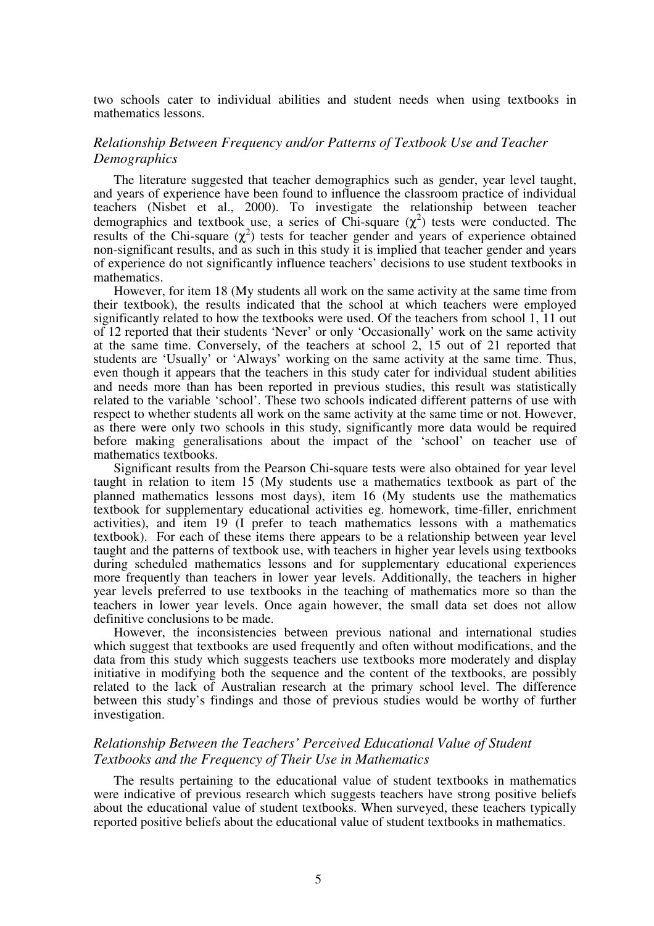two schools cater to individual abilities and student needs when using textbooks in mathematics lessons.

## *Relationship Between Frequency and/or Patterns of Textbook Use and Teacher Demographics*

The literature suggested that teacher demographics such as gender, year level taught, and years of experience have been found to influence the classroom practice of individual teachers (Nisbet et al., 2000). To investigate the relationship between teacher demographics and textbook use, a series of Chi-square  $(\chi^2)$  tests were conducted. The results of the Chi-square  $(\chi^2)$  tests for teacher gender and years of experience obtained non-significant results, and as such in this study it is implied that teacher gender and years of experience do not significantly influence teachers' decisions to use student textbooks in mathematics.

However, for item 18 (My students all work on the same activity at the same time from their textbook), the results indicated that the school at which teachers were employed significantly related to how the textbooks were used. Of the teachers from school 1, 11 out of 12 reported that their students 'Never' or only 'Occasionally' work on the same activity at the same time. Conversely, of the teachers at school 2, 15 out of 21 reported that students are 'Usually' or 'Always' working on the same activity at the same time. Thus, even though it appears that the teachers in this study cater for individual student abilities and needs more than has been reported in previous studies, this result was statistically related to the variable 'school'. These two schools indicated different patterns of use with respect to whether students all work on the same activity at the same time or not. However, as there were only two schools in this study, significantly more data would be required before making generalisations about the impact of the 'school' on teacher use of mathematics textbooks.

Significant results from the Pearson Chi-square tests were also obtained for year level taught in relation to item 15 (My students use a mathematics textbook as part of the planned mathematics lessons most days), item 16 (My students use the mathematics textbook for supplementary educational activities eg. homework, time-filler, enrichment activities), and item 19 (I prefer to teach mathematics lessons with a mathematics textbook). For each of these items there appears to be a relationship between year level taught and the patterns of textbook use, with teachers in higher year levels using textbooks during scheduled mathematics lessons and for supplementary educational experiences more frequently than teachers in lower year levels. Additionally, the teachers in higher year levels preferred to use textbooks in the teaching of mathematics more so than the teachers in lower year levels. Once again however, the small data set does not allow definitive conclusions to be made.

However, the inconsistencies between previous national and international studies which suggest that textbooks are used frequently and often without modifications, and the data from this study which suggests teachers use textbooks more moderately and display initiative in modifying both the sequence and the content of the textbooks, are possibly related to the lack of Australian research at the primary school level. The difference between this study's findings and those of previous studies would be worthy of further investigation.

# *Relationship Between the Teachers' Perceived Educational Value of Student Textbooks and the Frequency of Their Use in Mathematics*

The results pertaining to the educational value of student textbooks in mathematics were indicative of previous research which suggests teachers have strong positive beliefs about the educational value of student textbooks. When surveyed, these teachers typically reported positive beliefs about the educational value of student textbooks in mathematics.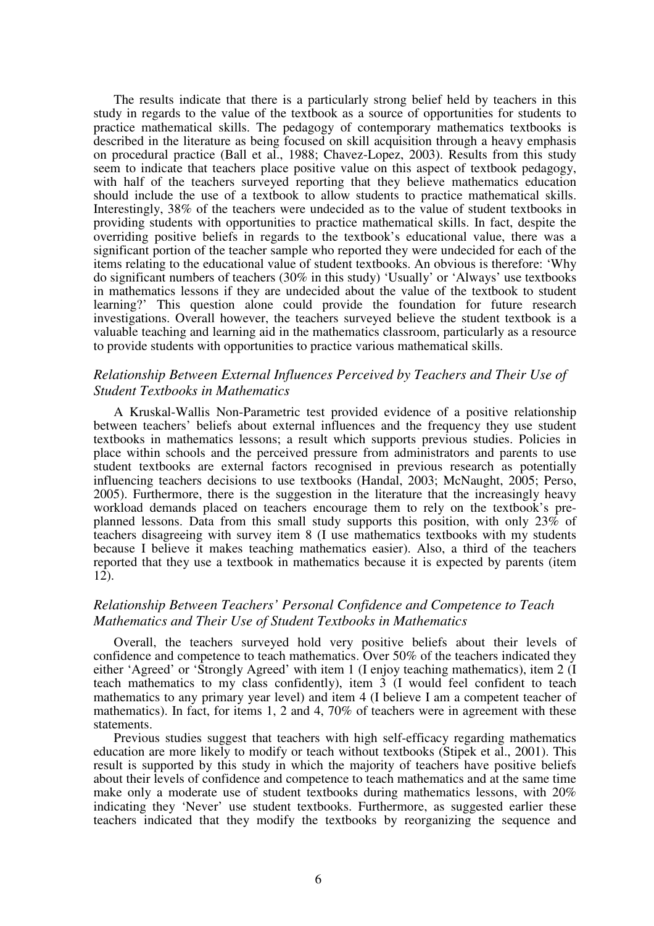The results indicate that there is a particularly strong belief held by teachers in this study in regards to the value of the textbook as a source of opportunities for students to practice mathematical skills. The pedagogy of contemporary mathematics textbooks is described in the literature as being focused on skill acquisition through a heavy emphasis on procedural practice (Ball et al., 1988; Chavez-Lopez, 2003). Results from this study seem to indicate that teachers place positive value on this aspect of textbook pedagogy, with half of the teachers surveyed reporting that they believe mathematics education should include the use of a textbook to allow students to practice mathematical skills. Interestingly, 38% of the teachers were undecided as to the value of student textbooks in providing students with opportunities to practice mathematical skills. In fact, despite the overriding positive beliefs in regards to the textbook's educational value, there was a significant portion of the teacher sample who reported they were undecided for each of the items relating to the educational value of student textbooks. An obvious is therefore: 'Why do significant numbers of teachers (30% in this study) 'Usually' or 'Always' use textbooks in mathematics lessons if they are undecided about the value of the textbook to student learning?' This question alone could provide the foundation for future research investigations. Overall however, the teachers surveyed believe the student textbook is a valuable teaching and learning aid in the mathematics classroom, particularly as a resource to provide students with opportunities to practice various mathematical skills.

## *Relationship Between External Influences Perceived by Teachers and Their Use of Student Textbooks in Mathematics*

A Kruskal-Wallis Non-Parametric test provided evidence of a positive relationship between teachers' beliefs about external influences and the frequency they use student textbooks in mathematics lessons; a result which supports previous studies. Policies in place within schools and the perceived pressure from administrators and parents to use student textbooks are external factors recognised in previous research as potentially influencing teachers decisions to use textbooks (Handal, 2003; McNaught, 2005; Perso, 2005). Furthermore, there is the suggestion in the literature that the increasingly heavy workload demands placed on teachers encourage them to rely on the textbook's preplanned lessons. Data from this small study supports this position, with only 23% of teachers disagreeing with survey item 8 (I use mathematics textbooks with my students because I believe it makes teaching mathematics easier). Also, a third of the teachers reported that they use a textbook in mathematics because it is expected by parents (item 12).

# *Relationship Between Teachers' Personal Confidence and Competence to Teach Mathematics and Their Use of Student Textbooks in Mathematics*

Overall, the teachers surveyed hold very positive beliefs about their levels of confidence and competence to teach mathematics. Over 50% of the teachers indicated they either 'Agreed' or 'Strongly Agreed' with item 1 (I enjoy teaching mathematics), item 2 (I teach mathematics to my class confidently), item 3 (I would feel confident to teach mathematics to any primary year level) and item 4 (I believe I am a competent teacher of mathematics). In fact, for items 1, 2 and 4, 70% of teachers were in agreement with these statements.

Previous studies suggest that teachers with high self-efficacy regarding mathematics education are more likely to modify or teach without textbooks (Stipek et al., 2001). This result is supported by this study in which the majority of teachers have positive beliefs about their levels of confidence and competence to teach mathematics and at the same time make only a moderate use of student textbooks during mathematics lessons, with 20% indicating they 'Never' use student textbooks. Furthermore, as suggested earlier these teachers indicated that they modify the textbooks by reorganizing the sequence and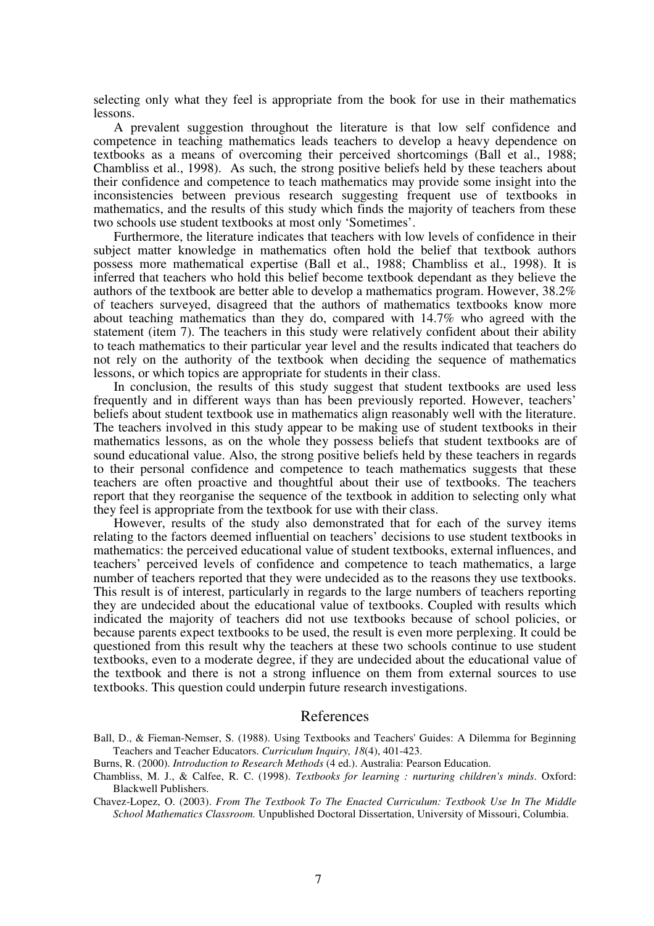selecting only what they feel is appropriate from the book for use in their mathematics lessons.

A prevalent suggestion throughout the literature is that low self confidence and competence in teaching mathematics leads teachers to develop a heavy dependence on textbooks as a means of overcoming their perceived shortcomings (Ball et al., 1988; Chambliss et al., 1998). As such, the strong positive beliefs held by these teachers about their confidence and competence to teach mathematics may provide some insight into the inconsistencies between previous research suggesting frequent use of textbooks in mathematics, and the results of this study which finds the majority of teachers from these two schools use student textbooks at most only 'Sometimes'.

Furthermore, the literature indicates that teachers with low levels of confidence in their subject matter knowledge in mathematics often hold the belief that textbook authors possess more mathematical expertise (Ball et al., 1988; Chambliss et al., 1998). It is inferred that teachers who hold this belief become textbook dependant as they believe the authors of the textbook are better able to develop a mathematics program. However, 38.2% of teachers surveyed, disagreed that the authors of mathematics textbooks know more about teaching mathematics than they do, compared with 14.7% who agreed with the statement (item 7). The teachers in this study were relatively confident about their ability to teach mathematics to their particular year level and the results indicated that teachers do not rely on the authority of the textbook when deciding the sequence of mathematics lessons, or which topics are appropriate for students in their class.

In conclusion, the results of this study suggest that student textbooks are used less frequently and in different ways than has been previously reported. However, teachers' beliefs about student textbook use in mathematics align reasonably well with the literature. The teachers involved in this study appear to be making use of student textbooks in their mathematics lessons, as on the whole they possess beliefs that student textbooks are of sound educational value. Also, the strong positive beliefs held by these teachers in regards to their personal confidence and competence to teach mathematics suggests that these teachers are often proactive and thoughtful about their use of textbooks. The teachers report that they reorganise the sequence of the textbook in addition to selecting only what they feel is appropriate from the textbook for use with their class.

However, results of the study also demonstrated that for each of the survey items relating to the factors deemed influential on teachers' decisions to use student textbooks in mathematics: the perceived educational value of student textbooks, external influences, and teachers' perceived levels of confidence and competence to teach mathematics, a large number of teachers reported that they were undecided as to the reasons they use textbooks. This result is of interest, particularly in regards to the large numbers of teachers reporting they are undecided about the educational value of textbooks. Coupled with results which indicated the majority of teachers did not use textbooks because of school policies, or because parents expect textbooks to be used, the result is even more perplexing. It could be questioned from this result why the teachers at these two schools continue to use student textbooks, even to a moderate degree, if they are undecided about the educational value of the textbook and there is not a strong influence on them from external sources to use textbooks. This question could underpin future research investigations.

## References

- Ball, D., & Fieman-Nemser, S. (1988). Using Textbooks and Teachers' Guides: A Dilemma for Beginning Teachers and Teacher Educators. *Curriculum Inquiry, 18*(4), 401-423.
- Burns, R. (2000). *Introduction to Research Methods* (4 ed.). Australia: Pearson Education.
- Chambliss, M. J., & Calfee, R. C. (1998). *Textbooks for learning : nurturing children's minds*. Oxford: Blackwell Publishers.

Chavez-Lopez, O. (2003). *From The Textbook To The Enacted Curriculum: Textbook Use In The Middle School Mathematics Classroom.* Unpublished Doctoral Dissertation, University of Missouri, Columbia.